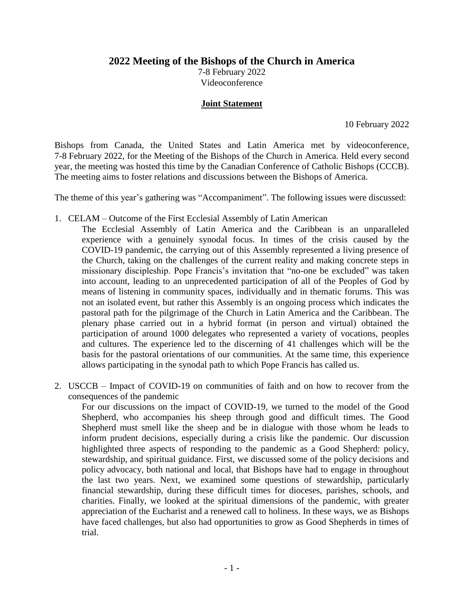**2022 Meeting of the Bishops of the Church in America**

7-8 February 2022 Videoconference

#### **Joint Statement**

10 February 2022

Bishops from Canada, the United States and Latin America met by videoconference, 7-8 February 2022, for the Meeting of the Bishops of the Church in America. Held every second year, the meeting was hosted this time by the Canadian Conference of Catholic Bishops (CCCB). The meeting aims to foster relations and discussions between the Bishops of America.

The theme of this year's gathering was "Accompaniment". The following issues were discussed:

- 1. CELAM Outcome of the First Ecclesial Assembly of Latin American
	- The Ecclesial Assembly of Latin America and the Caribbean is an unparalleled experience with a genuinely synodal focus. In times of the crisis caused by the COVID-19 pandemic, the carrying out of this Assembly represented a living presence of the Church, taking on the challenges of the current reality and making concrete steps in missionary discipleship. Pope Francis's invitation that "no-one be excluded" was taken into account, leading to an unprecedented participation of all of the Peoples of God by means of listening in community spaces, individually and in thematic forums. This was not an isolated event, but rather this Assembly is an ongoing process which indicates the pastoral path for the pilgrimage of the Church in Latin America and the Caribbean. The plenary phase carried out in a hybrid format (in person and virtual) obtained the participation of around 1000 delegates who represented a variety of vocations, peoples and cultures. The experience led to the discerning of 41 challenges which will be the basis for the pastoral orientations of our communities. At the same time, this experience allows participating in the synodal path to which Pope Francis has called us.
- 2. USCCB Impact of COVID-19 on communities of faith and on how to recover from the consequences of the pandemic

For our discussions on the impact of COVID-19, we turned to the model of the Good Shepherd, who accompanies his sheep through good and difficult times. The Good Shepherd must smell like the sheep and be in dialogue with those whom he leads to inform prudent decisions, especially during a crisis like the pandemic. Our discussion highlighted three aspects of responding to the pandemic as a Good Shepherd: policy, stewardship, and spiritual guidance. First, we discussed some of the policy decisions and policy advocacy, both national and local, that Bishops have had to engage in throughout the last two years. Next, we examined some questions of stewardship, particularly financial stewardship, during these difficult times for dioceses, parishes, schools, and charities. Finally, we looked at the spiritual dimensions of the pandemic, with greater appreciation of the Eucharist and a renewed call to holiness. In these ways, we as Bishops have faced challenges, but also had opportunities to grow as Good Shepherds in times of trial.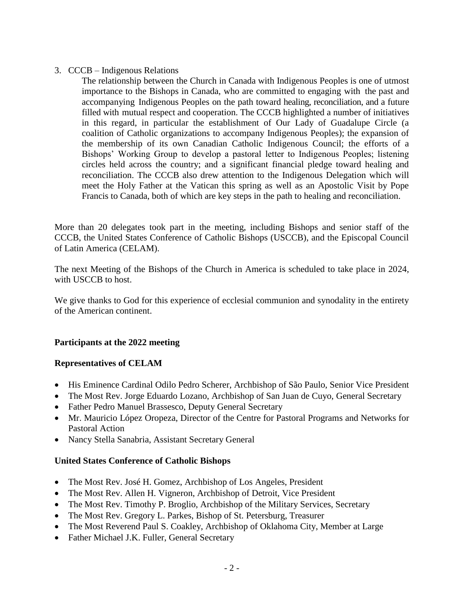## 3. CCCB – Indigenous Relations

The relationship between the Church in Canada with Indigenous Peoples is one of utmost importance to the Bishops in Canada, who are committed to engaging with the past and accompanying Indigenous Peoples on the path toward healing, reconciliation, and a future filled with mutual respect and cooperation. The CCCB highlighted a number of initiatives in this regard, in particular the establishment of Our Lady of Guadalupe Circle (a coalition of Catholic organizations to accompany Indigenous Peoples); the expansion of the membership of its own Canadian Catholic Indigenous Council; the efforts of a Bishops' Working Group to develop a pastoral letter to Indigenous Peoples; listening circles held across the country; and a significant financial pledge toward healing and reconciliation. The CCCB also drew attention to the Indigenous Delegation which will meet the Holy Father at the Vatican this spring as well as an Apostolic Visit by Pope Francis to Canada, both of which are key steps in the path to healing and reconciliation.

More than 20 delegates took part in the meeting, including Bishops and senior staff of the CCCB, the United States Conference of Catholic Bishops (USCCB), and the Episcopal Council of Latin America (CELAM).

The next Meeting of the Bishops of the Church in America is scheduled to take place in 2024, with USCCB to host.

We give thanks to God for this experience of ecclesial communion and synodality in the entirety of the American continent.

## **Participants at the 2022 meeting**

## **Representatives of CELAM**

- His Eminence Cardinal Odilo Pedro Scherer, Archbishop of São Paulo, Senior Vice President
- The Most Rev. Jorge Eduardo Lozano, Archbishop of San Juan de Cuyo, General Secretary
- Father Pedro Manuel Brassesco, Deputy General Secretary
- Mr. Mauricio López Oropeza, Director of the Centre for Pastoral Programs and Networks for Pastoral Action
- Nancy Stella Sanabria, Assistant Secretary General

# **United States Conference of Catholic Bishops**

- The Most Rev. José H. Gomez, Archbishop of Los Angeles, President
- The Most Rev. Allen H. Vigneron, Archbishop of Detroit, Vice President
- The Most Rev. Timothy P. Broglio, Archbishop of the Military Services, Secretary
- The Most Rev. Gregory L. Parkes, Bishop of St. Petersburg, Treasurer
- The Most Reverend Paul S. Coakley, Archbishop of Oklahoma City, Member at Large
- Father Michael J.K. Fuller, General Secretary